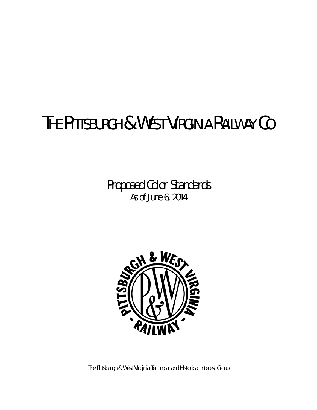# **THE PITTSBURGH & WEST VIRGINIA RAILWAY CO.**

**Proposed Color Standards As of June 6, 2014** 



**The Pittsburgh & West Virginia Technical and Historical Interest Group**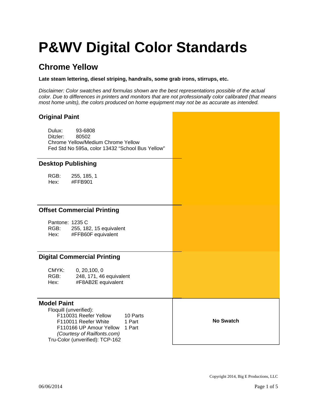### **Chrome Yellow**

**Late steam lettering, diesel striping, handrails, some grab irons, stirrups, etc.** 

*Disclaimer: Color swatches and formulas shown are the best representations possible of the actual color. Due to differences in printers and monitors that are not professionally color calibrated (that means most home units), the colors produced on home equipment may not be as accurate as intended.* 

#### **Original Paint**

Dulux: 93-6808 Ditzler: 80502 Chrome Yellow/Medium Chrome Yellow Fed Std No 595a, color 13432 "School Bus Yellow"

#### **Desktop Publishing**

RGB: 255, 185, 1 Hex: #FFB901

#### **Offset Commercial Printing**

Pantone: 1235 C RGB: 255, 182, 15 equivalent Hex: #FFB60F equivalent

#### **Digital Commercial Printing**

| CMYK: | 0, 20, 100, 0           |
|-------|-------------------------|
| RGB:  | 248, 171, 46 equivalent |
| Hex:  | #F8AB2E equivalent      |

#### **Model Paint**

 Floquill (unverified): F110031 Reefer Yellow 10 Parts<br>F110011 Reefer White 1 Part F110011 Reefer White F110166 UP Amour Yellow 1 Part  *(Courtesy of Railfonts.com)*  Tru-Color (unverified): TCP-162

**No Swatch** 

Copyright 2014, Big E Productions, LLC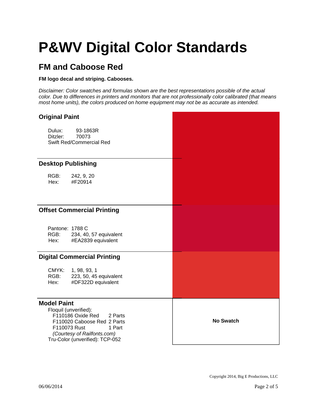### **FM and Caboose Red**

#### **FM logo decal and striping. Cabooses.**

| <b>Original Paint</b>                                                                                                                                                                                  |                  |
|--------------------------------------------------------------------------------------------------------------------------------------------------------------------------------------------------------|------------------|
| Dulux:<br>93-1863R<br>Ditzler:<br>70073<br>Swift Red/Commercial Red                                                                                                                                    |                  |
| <b>Desktop Publishing</b>                                                                                                                                                                              |                  |
| RGB:<br>242, 9, 20<br>#F20914<br>Hex:                                                                                                                                                                  |                  |
| <b>Offset Commercial Printing</b>                                                                                                                                                                      |                  |
| Pantone: 1788 C<br>RGB:<br>234, 40, 57 equivalent<br>#EA2839 equivalent<br>Hex:                                                                                                                        |                  |
| <b>Digital Commercial Printing</b>                                                                                                                                                                     |                  |
| CMYK:<br>1, 98, 93, 1<br>RGB:<br>223, 50, 45 equivalent<br>#DF322D equivalent<br>Hex:                                                                                                                  |                  |
| <b>Model Paint</b><br>Floquil (unverified):<br>F110186 Oxide Red<br>2 Parts<br>F110020 Caboose Red 2 Parts<br>F110073 Rust<br>1 Part<br>(Courtesy of Railfonts.com)<br>Tru-Color (unverified): TCP-052 | <b>No Swatch</b> |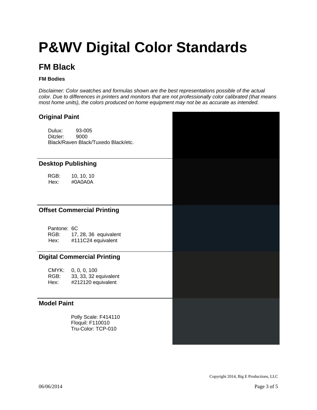### **FM Black**

#### **FM Bodies**

| <b>Original Paint</b>              |                                                                   |  |
|------------------------------------|-------------------------------------------------------------------|--|
| Dulux:<br>Ditzler:                 | 93-005<br>9000<br>Black/Raven Black/Tuxedo Black/etc.             |  |
| <b>Desktop Publishing</b>          |                                                                   |  |
| RGB:<br>Hex:                       | 10, 10, 10<br>#0A0A0A                                             |  |
| <b>Offset Commercial Printing</b>  |                                                                   |  |
| Pantone: 6C<br>Hex:                | RGB: 17, 28, 36 equivalent<br>#111C24 equivalent                  |  |
| <b>Digital Commercial Printing</b> |                                                                   |  |
| RGB:<br>Hex:                       | CMYK: 0, 0, 0, 100<br>33, 33, 32 equivalent<br>#212120 equivalent |  |
| <b>Model Paint</b>                 |                                                                   |  |
|                                    | Polly Scale: F414110<br>Floquil: F110010<br>Tru-Color: TCP-010    |  |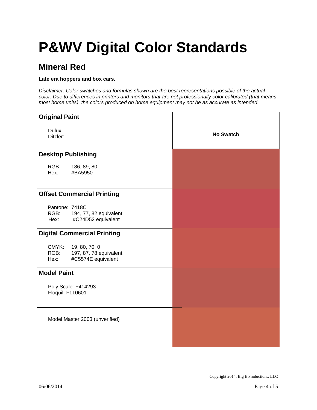### **Mineral Red**

#### **Late era hoppers and box cars.**

| <b>Original Paint</b>                                                                  |                  |
|----------------------------------------------------------------------------------------|------------------|
| Dulux:<br>Ditzler:                                                                     | <b>No Swatch</b> |
| <b>Desktop Publishing</b>                                                              |                  |
| RGB:<br>186, 89, 80<br>Hex:<br>#BA5950                                                 |                  |
| <b>Offset Commercial Printing</b>                                                      |                  |
| Pantone: 7418C<br>RGB:<br>194, 77, 82 equivalent<br>#C24D52 equivalent<br>Hex:         |                  |
| <b>Digital Commercial Printing</b>                                                     |                  |
| CMYK:<br>19, 80, 70, 0<br>RGB:<br>197, 87, 78 equivalent<br>#C5574E equivalent<br>Hex: |                  |
| <b>Model Paint</b>                                                                     |                  |
| Poly Scale: F414293<br>Floquil: F110601                                                |                  |
| Model Master 2003 (unverified)                                                         |                  |
|                                                                                        |                  |